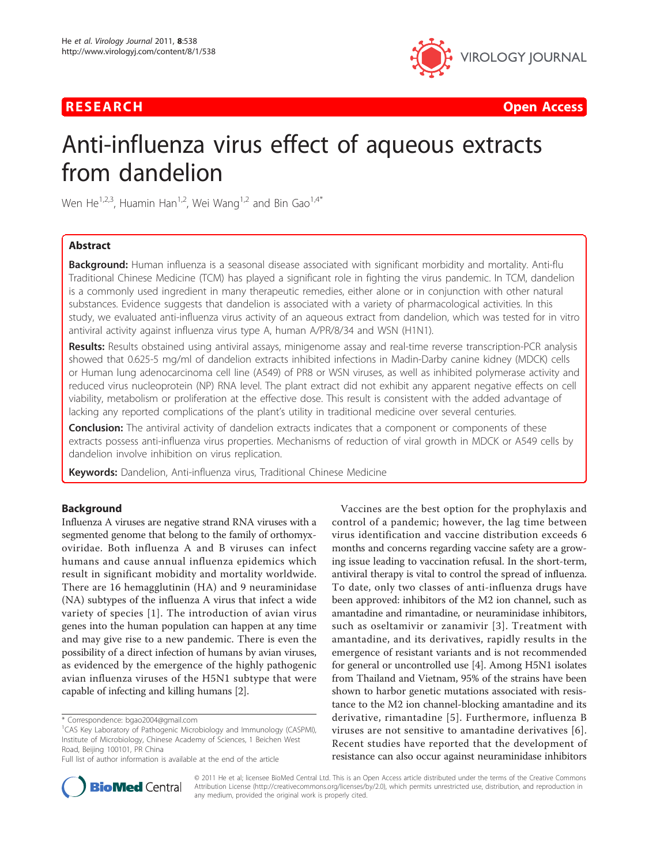

**RESEARCH Open Access Contract Contract Contract Contract Contract Contract Contract Contract Contract Contract Contract Contract Contract Contract Contract Contract Contract Contract Contract Contract Contract Contract** 

# Anti-influenza virus effect of aqueous extracts from dandelion

Wen He<sup>1,2,3</sup>, Huamin Han<sup>1,2</sup>, Wei Wang<sup>1,2</sup> and Bin Gao<sup>1,4\*</sup>

# Abstract

**Background:** Human influenza is a seasonal disease associated with significant morbidity and mortality. Anti-flu Traditional Chinese Medicine (TCM) has played a significant role in fighting the virus pandemic. In TCM, dandelion is a commonly used ingredient in many therapeutic remedies, either alone or in conjunction with other natural substances. Evidence suggests that dandelion is associated with a variety of pharmacological activities. In this study, we evaluated anti-influenza virus activity of an aqueous extract from dandelion, which was tested for in vitro antiviral activity against influenza virus type A, human A/PR/8/34 and WSN (H1N1).

Results: Results obstained using antiviral assays, minigenome assay and real-time reverse transcription-PCR analysis showed that 0.625-5 mg/ml of dandelion extracts inhibited infections in Madin-Darby canine kidney (MDCK) cells or Human lung adenocarcinoma cell line (A549) of PR8 or WSN viruses, as well as inhibited polymerase activity and reduced virus nucleoprotein (NP) RNA level. The plant extract did not exhibit any apparent negative effects on cell viability, metabolism or proliferation at the effective dose. This result is consistent with the added advantage of lacking any reported complications of the plant's utility in traditional medicine over several centuries.

**Conclusion:** The antiviral activity of dandelion extracts indicates that a component or components of these extracts possess anti-influenza virus properties. Mechanisms of reduction of viral growth in MDCK or A549 cells by dandelion involve inhibition on virus replication.

Keywords: Dandelion, Anti-influenza virus, Traditional Chinese Medicine

# Background

Influenza A viruses are negative strand RNA viruses with a segmented genome that belong to the family of orthomyxoviridae. Both influenza A and B viruses can infect humans and cause annual influenza epidemics which result in significant mobidity and mortality worldwide. There are 16 hemagglutinin (HA) and 9 neuraminidase (NA) subtypes of the influenza A virus that infect a wide variety of species [[1\]](#page-9-0). The introduction of avian virus genes into the human population can happen at any time and may give rise to a new pandemic. There is even the possibility of a direct infection of humans by avian viruses, as evidenced by the emergence of the highly pathogenic avian influenza viruses of the H5N1 subtype that were capable of infecting and killing humans [[2](#page-9-0)].

Vaccines are the best option for the prophylaxis and control of a pandemic; however, the lag time between virus identification and vaccine distribution exceeds 6 months and concerns regarding vaccine safety are a growing issue leading to vaccination refusal. In the short-term, antiviral therapy is vital to control the spread of influenza. To date, only two classes of anti-influenza drugs have been approved: inhibitors of the M2 ion channel, such as amantadine and rimantadine, or neuraminidase inhibitors, such as oseltamivir or zanamivir [[3\]](#page-9-0). Treatment with amantadine, and its derivatives, rapidly results in the emergence of resistant variants and is not recommended for general or uncontrolled use [\[4](#page-9-0)]. Among H5N1 isolates from Thailand and Vietnam, 95% of the strains have been shown to harbor genetic mutations associated with resistance to the M2 ion channel-blocking amantadine and its derivative, rimantadine [[5](#page-9-0)]. Furthermore, influenza B viruses are not sensitive to amantadine derivatives [[6](#page-9-0)]. Recent studies have reported that the development of resistance can also occur against neuraminidase inhibitors



© 2011 He et al; licensee BioMed Central Ltd. This is an Open Access article distributed under the terms of the Creative Commons Attribution License [\(http://creativecommons.org/licenses/by/2.0](http://creativecommons.org/licenses/by/2.0)), which permits unrestricted use, distribution, and reproduction in any medium, provided the original work is properly cited.

<sup>\*</sup> Correspondence: [bgao2004@gmail.com](mailto:bgao2004@gmail.com)

<sup>&</sup>lt;sup>1</sup>CAS Key Laboratory of Pathogenic Microbiology and Immunology (CASPMI), Institute of Microbiology, Chinese Academy of Sciences, 1 Beichen West Road, Beijing 100101, PR China

Full list of author information is available at the end of the article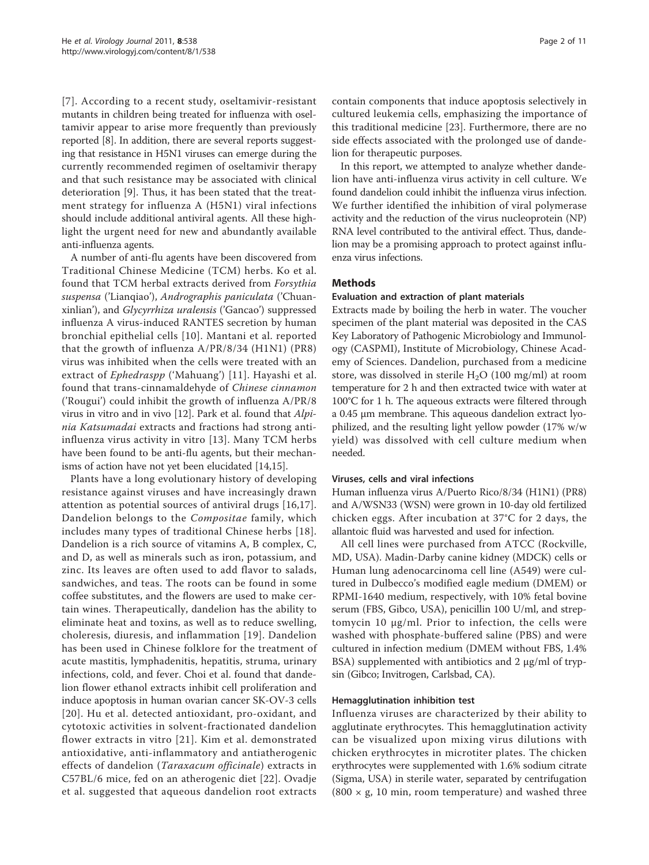[[7](#page-9-0)]. According to a recent study, oseltamivir-resistant mutants in children being treated for influenza with oseltamivir appear to arise more frequently than previously reported [[8](#page-9-0)]. In addition, there are several reports suggesting that resistance in H5N1 viruses can emerge during the currently recommended regimen of oseltamivir therapy and that such resistance may be associated with clinical deterioration [[9\]](#page-9-0). Thus, it has been stated that the treatment strategy for influenza A (H5N1) viral infections should include additional antiviral agents. All these highlight the urgent need for new and abundantly available anti-influenza agents.

A number of anti-flu agents have been discovered from Traditional Chinese Medicine (TCM) herbs. Ko et al. found that TCM herbal extracts derived from Forsythia suspensa ('Lianqiao'), Andrographis paniculata ('Chuanxinlian'), and Glycyrrhiza uralensis ('Gancao') suppressed influenza A virus-induced RANTES secretion by human bronchial epithelial cells [[10\]](#page-10-0). Mantani et al. reported that the growth of influenza A/PR/8/34 (H1N1) (PR8) virus was inhibited when the cells were treated with an extract of *Ephedraspp* ('Mahuang') [[11](#page-10-0)]. Hayashi et al. found that trans-cinnamaldehyde of Chinese cinnamon ('Rougui') could inhibit the growth of influenza A/PR/8 virus in vitro and in vivo [\[12\]](#page-10-0). Park et al. found that *Alpi*nia Katsumadai extracts and fractions had strong antiinfluenza virus activity in vitro [[13](#page-10-0)]. Many TCM herbs have been found to be anti-flu agents, but their mechanisms of action have not yet been elucidated [\[14,15](#page-10-0)].

Plants have a long evolutionary history of developing resistance against viruses and have increasingly drawn attention as potential sources of antiviral drugs [[16,17](#page-10-0)]. Dandelion belongs to the Compositae family, which includes many types of traditional Chinese herbs [[18\]](#page-10-0). Dandelion is a rich source of vitamins A, B complex, C, and D, as well as minerals such as iron, potassium, and zinc. Its leaves are often used to add flavor to salads, sandwiches, and teas. The roots can be found in some coffee substitutes, and the flowers are used to make certain wines. Therapeutically, dandelion has the ability to eliminate heat and toxins, as well as to reduce swelling, choleresis, diuresis, and inflammation [[19](#page-10-0)]. Dandelion has been used in Chinese folklore for the treatment of acute mastitis, lymphadenitis, hepatitis, struma, urinary infections, cold, and fever. Choi et al. found that dandelion flower ethanol extracts inhibit cell proliferation and induce apoptosis in human ovarian cancer SK-OV-3 cells [[20\]](#page-10-0). Hu et al. detected antioxidant, pro-oxidant, and cytotoxic activities in solvent-fractionated dandelion flower extracts in vitro [[21](#page-10-0)]. Kim et al. demonstrated antioxidative, anti-inflammatory and antiatherogenic effects of dandelion (Taraxacum officinale) extracts in C57BL/6 mice, fed on an atherogenic diet [[22](#page-10-0)]. Ovadje et al. suggested that aqueous dandelion root extracts contain components that induce apoptosis selectively in cultured leukemia cells, emphasizing the importance of this traditional medicine [\[23](#page-10-0)]. Furthermore, there are no side effects associated with the prolonged use of dandelion for therapeutic purposes.

In this report, we attempted to analyze whether dandelion have anti-influenza virus activity in cell culture. We found dandelion could inhibit the influenza virus infection. We further identified the inhibition of viral polymerase activity and the reduction of the virus nucleoprotein (NP) RNA level contributed to the antiviral effect. Thus, dandelion may be a promising approach to protect against influenza virus infections.

## Methods

#### Evaluation and extraction of plant materials

Extracts made by boiling the herb in water. The voucher specimen of the plant material was deposited in the CAS Key Laboratory of Pathogenic Microbiology and Immunology (CASPMI), Institute of Microbiology, Chinese Academy of Sciences. Dandelion, purchased from a medicine store, was dissolved in sterile  $H_2O$  (100 mg/ml) at room temperature for 2 h and then extracted twice with water at 100°C for 1 h. The aqueous extracts were filtered through a 0.45 μm membrane. This aqueous dandelion extract lyophilized, and the resulting light yellow powder (17% w/w yield) was dissolved with cell culture medium when needed.

#### Viruses, cells and viral infections

Human influenza virus A/Puerto Rico/8/34 (H1N1) (PR8) and A/WSN33 (WSN) were grown in 10-day old fertilized chicken eggs. After incubation at 37°C for 2 days, the allantoic fluid was harvested and used for infection.

All cell lines were purchased from ATCC (Rockville, MD, USA). Madin-Darby canine kidney (MDCK) cells or Human lung adenocarcinoma cell line (A549) were cultured in Dulbecco's modified eagle medium (DMEM) or RPMI-1640 medium, respectively, with 10% fetal bovine serum (FBS, Gibco, USA), penicillin 100 U/ml, and streptomycin 10 μg/ml. Prior to infection, the cells were washed with phosphate-buffered saline (PBS) and were cultured in infection medium (DMEM without FBS, 1.4% BSA) supplemented with antibiotics and 2 μg/ml of trypsin (Gibco; Invitrogen, Carlsbad, CA).

#### Hemagglutination inhibition test

Influenza viruses are characterized by their ability to agglutinate erythrocytes. This hemagglutination activity can be visualized upon mixing virus dilutions with chicken erythrocytes in microtiter plates. The chicken erythrocytes were supplemented with 1.6% sodium citrate (Sigma, USA) in sterile water, separated by centrifugation  $(800 \times g, 10 \text{ min}, \text{room temperature})$  and washed three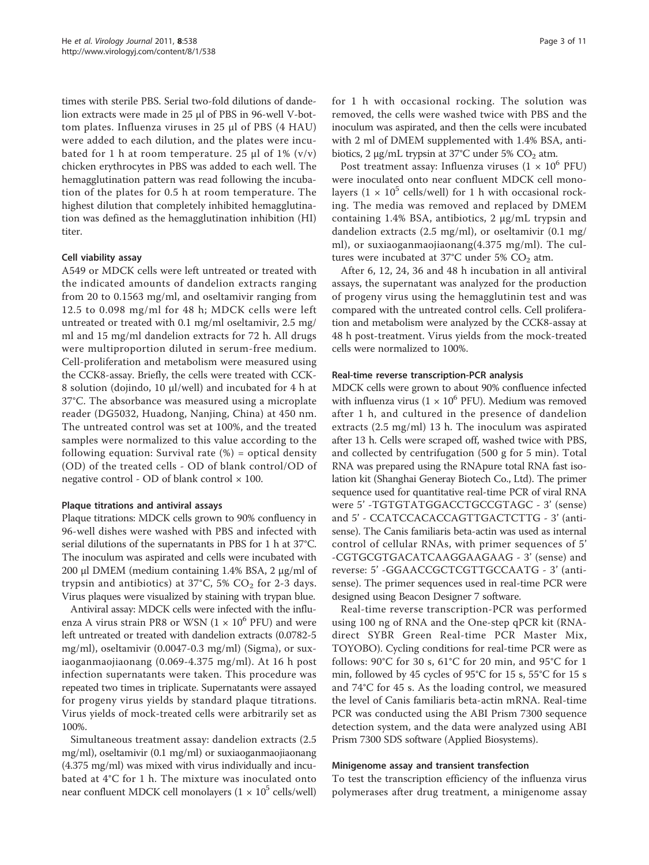times with sterile PBS. Serial two-fold dilutions of dandelion extracts were made in 25 μl of PBS in 96-well V-bottom plates. Influenza viruses in 25 μl of PBS (4 HAU) were added to each dilution, and the plates were incubated for 1 h at room temperature. 25 μl of 1%  $(v/v)$ chicken erythrocytes in PBS was added to each well. The hemagglutination pattern was read following the incubation of the plates for 0.5 h at room temperature. The highest dilution that completely inhibited hemagglutination was defined as the hemagglutination inhibition (HI) titer.

## Cell viability assay

A549 or MDCK cells were left untreated or treated with the indicated amounts of dandelion extracts ranging from 20 to 0.1563 mg/ml, and oseltamivir ranging from 12.5 to 0.098 mg/ml for 48 h; MDCK cells were left untreated or treated with 0.1 mg/ml oseltamivir, 2.5 mg/ ml and 15 mg/ml dandelion extracts for 72 h. All drugs were multiproportion diluted in serum-free medium. Cell-proliferation and metabolism were measured using the CCK8-assay. Briefly, the cells were treated with CCK-8 solution (dojindo, 10 μl/well) and incubated for 4 h at 37°C. The absorbance was measured using a microplate reader (DG5032, Huadong, Nanjing, China) at 450 nm. The untreated control was set at 100%, and the treated samples were normalized to this value according to the following equation: Survival rate  $%$  = optical density (OD) of the treated cells - OD of blank control/OD of negative control - OD of blank control  $\times$  100.

#### Plaque titrations and antiviral assays

Plaque titrations: MDCK cells grown to 90% confluency in 96-well dishes were washed with PBS and infected with serial dilutions of the supernatants in PBS for 1 h at 37°C. The inoculum was aspirated and cells were incubated with 200 μl DMEM (medium containing 1.4% BSA, 2 μg/ml of trypsin and antibiotics) at 37°C, 5%  $CO<sub>2</sub>$  for 2-3 days. Virus plaques were visualized by staining with trypan blue.

Antiviral assay: MDCK cells were infected with the influenza A virus strain PR8 or WSN  $(1 \times 10^6$  PFU) and were left untreated or treated with dandelion extracts (0.0782-5 mg/ml), oseltamivir (0.0047-0.3 mg/ml) (Sigma), or suxiaoganmaojiaonang (0.069-4.375 mg/ml). At 16 h post infection supernatants were taken. This procedure was repeated two times in triplicate. Supernatants were assayed for progeny virus yields by standard plaque titrations. Virus yields of mock-treated cells were arbitrarily set as 100%.

Simultaneous treatment assay: dandelion extracts (2.5 mg/ml), oseltamivir (0.1 mg/ml) or suxiaoganmaojiaonang (4.375 mg/ml) was mixed with virus individually and incubated at 4°C for 1 h. The mixture was inoculated onto near confluent MDCK cell monolayers  $(1 \times 10^5 \text{ cells/well})$ 

for 1 h with occasional rocking. The solution was removed, the cells were washed twice with PBS and the inoculum was aspirated, and then the cells were incubated with 2 ml of DMEM supplemented with 1.4% BSA, antibiotics, 2  $\mu$ g/mL trypsin at 37°C under 5% CO<sub>2</sub> atm.

Post treatment assay: Influenza viruses  $(1 \times 10^6 \text{ PFU})$ were inoculated onto near confluent MDCK cell monolayers  $(1 \times 10^5 \text{ cells/well})$  for 1 h with occasional rocking. The media was removed and replaced by DMEM containing 1.4% BSA, antibiotics, 2 μg/mL trypsin and dandelion extracts (2.5 mg/ml), or oseltamivir (0.1 mg/ ml), or suxiaoganmaojiaonang(4.375 mg/ml). The cultures were incubated at 37°C under 5%  $CO<sub>2</sub>$  atm.

After 6, 12, 24, 36 and 48 h incubation in all antiviral assays, the supernatant was analyzed for the production of progeny virus using the hemagglutinin test and was compared with the untreated control cells. Cell proliferation and metabolism were analyzed by the CCK8-assay at 48 h post-treatment. Virus yields from the mock-treated cells were normalized to 100%.

#### Real-time reverse transcription-PCR analysis

MDCK cells were grown to about 90% confluence infected with influenza virus ( $1 \times 10^6$  PFU). Medium was removed after 1 h, and cultured in the presence of dandelion extracts (2.5 mg/ml) 13 h. The inoculum was aspirated after 13 h. Cells were scraped off, washed twice with PBS, and collected by centrifugation (500 g for 5 min). Total RNA was prepared using the RNApure total RNA fast isolation kit (Shanghai Generay Biotech Co., Ltd). The primer sequence used for quantitative real-time PCR of viral RNA were 5' -TGTGTATGGACCTGCCGTAGC - 3' (sense) and 5' - CCATCCACACCAGTTGACTCTTG - 3' (antisense). The Canis familiaris beta-actin was used as internal control of cellular RNAs, with primer sequences of 5' -CGTGCGTGACATCAAGGAAGAAG - 3' (sense) and reverse: 5' -GGAACCGCTCGTTGCCAATG - 3' (antisense). The primer sequences used in real-time PCR were designed using Beacon Designer 7 software.

Real-time reverse transcription-PCR was performed using 100 ng of RNA and the One-step qPCR kit (RNAdirect SYBR Green Real-time PCR Master Mix, TOYOBO). Cycling conditions for real-time PCR were as follows: 90°C for 30 s, 61°C for 20 min, and 95°C for 1 min, followed by 45 cycles of 95°C for 15 s, 55°C for 15 s and 74°C for 45 s. As the loading control, we measured the level of Canis familiaris beta-actin mRNA. Real-time PCR was conducted using the ABI Prism 7300 sequence detection system, and the data were analyzed using ABI Prism 7300 SDS software (Applied Biosystems).

#### Minigenome assay and transient transfection

To test the transcription efficiency of the influenza virus polymerases after drug treatment, a minigenome assay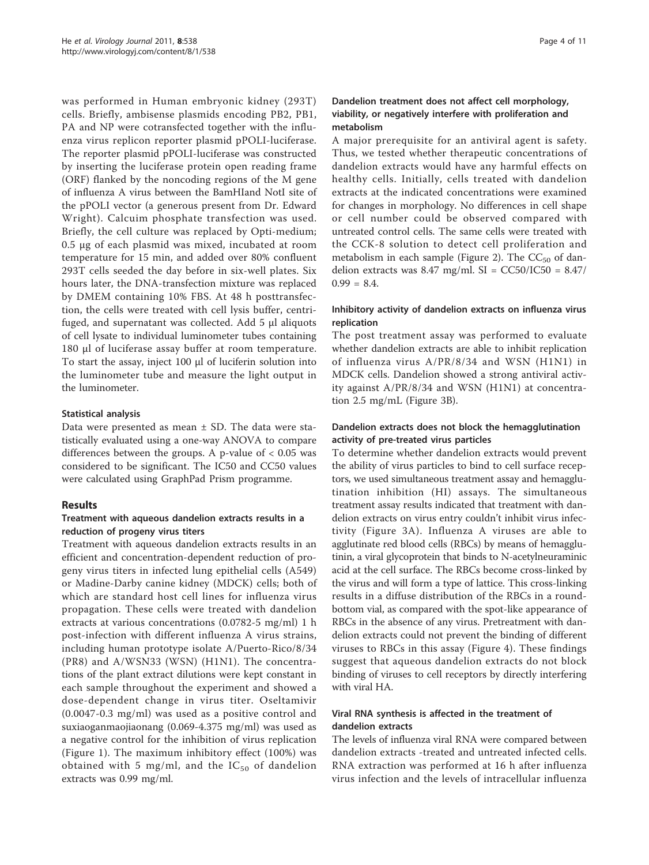was performed in Human embryonic kidney (293T) cells. Briefly, ambisense plasmids encoding PB2, PB1, PA and NP were cotransfected together with the influenza virus replicon reporter plasmid pPOLI-luciferase. The reporter plasmid pPOLI-luciferase was constructed by inserting the luciferase protein open reading frame (ORF) flanked by the noncoding regions of the M gene of influenza A virus between the BamHIand NotI site of the pPOLI vector (a generous present from Dr. Edward Wright). Calcuim phosphate transfection was used. Briefly, the cell culture was replaced by Opti-medium; 0.5 μg of each plasmid was mixed, incubated at room temperature for 15 min, and added over 80% confluent 293T cells seeded the day before in six-well plates. Six hours later, the DNA-transfection mixture was replaced by DMEM containing 10% FBS. At 48 h posttransfection, the cells were treated with cell lysis buffer, centrifuged, and supernatant was collected. Add 5 μl aliquots of cell lysate to individual luminometer tubes containing 180 μl of luciferase assay buffer at room temperature. To start the assay, inject 100 μl of luciferin solution into the luminometer tube and measure the light output in the luminometer.

# Statistical analysis

Data were presented as mean  $\pm$  SD. The data were statistically evaluated using a one-way ANOVA to compare differences between the groups. A p-value of < 0.05 was considered to be significant. The IC50 and CC50 values were calculated using GraphPad Prism programme.

# Results

# Treatment with aqueous dandelion extracts results in a reduction of progeny virus titers

Treatment with aqueous dandelion extracts results in an efficient and concentration-dependent reduction of progeny virus titers in infected lung epithelial cells (A549) or Madine-Darby canine kidney (MDCK) cells; both of which are standard host cell lines for influenza virus propagation. These cells were treated with dandelion extracts at various concentrations (0.0782-5 mg/ml) 1 h post-infection with different influenza A virus strains, including human prototype isolate A/Puerto-Rico/8/34 (PR8) and A/WSN33 (WSN) (H1N1). The concentrations of the plant extract dilutions were kept constant in each sample throughout the experiment and showed a dose-dependent change in virus titer. Oseltamivir (0.0047-0.3 mg/ml) was used as a positive control and suxiaoganmaojiaonang (0.069-4.375 mg/ml) was used as a negative control for the inhibition of virus replication (Figure [1](#page-4-0)). The maximum inhibitory effect (100%) was obtained with 5 mg/ml, and the  $IC_{50}$  of dandelion extracts was 0.99 mg/ml.

# Dandelion treatment does not affect cell morphology, viability, or negatively interfere with proliferation and metabolism

A major prerequisite for an antiviral agent is safety. Thus, we tested whether therapeutic concentrations of dandelion extracts would have any harmful effects on healthy cells. Initially, cells treated with dandelion extracts at the indicated concentrations were examined for changes in morphology. No differences in cell shape or cell number could be observed compared with untreated control cells. The same cells were treated with the CCK-8 solution to detect cell proliferation and metabolism in each sample (Figure [2\)](#page-5-0). The  $CC_{50}$  of dandelion extracts was 8.47 mg/ml.  $SI = CC50/IC50 = 8.47/$  $0.99 = 8.4.$ 

# Inhibitory activity of dandelion extracts on influenza virus replication

The post treatment assay was performed to evaluate whether dandelion extracts are able to inhibit replication of influenza virus A/PR/8/34 and WSN (H1N1) in MDCK cells. Dandelion showed a strong antiviral activity against A/PR/8/34 and WSN (H1N1) at concentration 2.5 mg/mL (Figure [3B](#page-6-0)).

# Dandelion extracts does not block the hemagglutination activity of pre-treated virus particles

To determine whether dandelion extracts would prevent the ability of virus particles to bind to cell surface receptors, we used simultaneous treatment assay and hemagglutination inhibition (HI) assays. The simultaneous treatment assay results indicated that treatment with dandelion extracts on virus entry couldn't inhibit virus infectivity (Figure [3A\)](#page-6-0). Influenza A viruses are able to agglutinate red blood cells (RBCs) by means of hemagglutinin, a viral glycoprotein that binds to N-acetylneuraminic acid at the cell surface. The RBCs become cross-linked by the virus and will form a type of lattice. This cross-linking results in a diffuse distribution of the RBCs in a roundbottom vial, as compared with the spot-like appearance of RBCs in the absence of any virus. Pretreatment with dandelion extracts could not prevent the binding of different viruses to RBCs in this assay (Figure [4\)](#page-7-0). These findings suggest that aqueous dandelion extracts do not block binding of viruses to cell receptors by directly interfering with viral HA.

# Viral RNA synthesis is affected in the treatment of dandelion extracts

The levels of influenza viral RNA were compared between dandelion extracts -treated and untreated infected cells. RNA extraction was performed at 16 h after influenza virus infection and the levels of intracellular influenza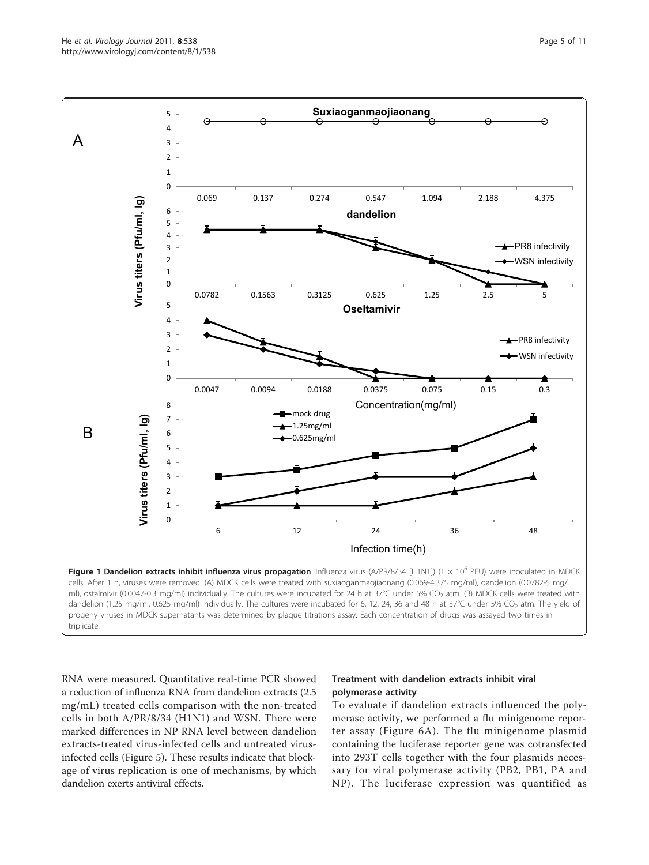RNA were measured. Quantitative real-time PCR showed a reduction of influenza RNA from dandelion extracts (2.5 mg/mL) treated cells comparison with the non-treated cells in both A/PR/8/34 (H1N1) and WSN. There were marked differences in NP RNA level between dandelion extracts-treated virus-infected cells and untreated virusinfected cells (Figure [5\)](#page-8-0). These results indicate that blockage of virus replication is one of mechanisms, by which dandelion exerts antiviral effects.

# Treatment with dandelion extracts inhibit viral polymerase activity

To evaluate if dandelion extracts influenced the polymerase activity, we performed a flu minigenome reporter assay (Figure [6A](#page-9-0)). The flu minigenome plasmid containing the luciferase reporter gene was cotransfected into 293T cells together with the four plasmids necessary for viral polymerase activity (PB2, PB1, PA and NP). The luciferase expression was quantified as

<span id="page-4-0"></span>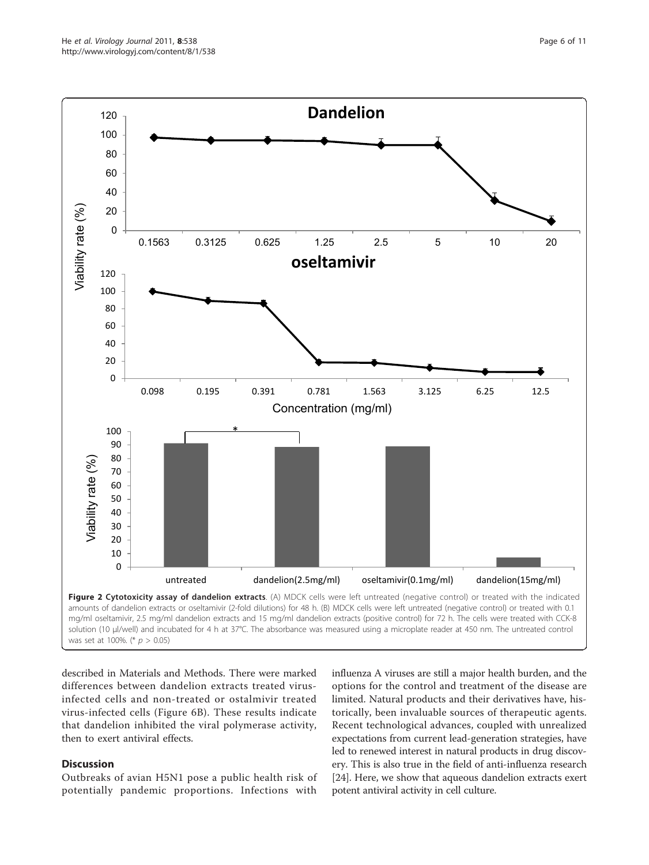<span id="page-5-0"></span>

described in Materials and Methods. There were marked differences between dandelion extracts treated virusinfected cells and non-treated or ostalmivir treated virus-infected cells (Figure [6B\)](#page-9-0). These results indicate that dandelion inhibited the viral polymerase activity, then to exert antiviral effects.

# **Discussion**

Outbreaks of avian H5N1 pose a public health risk of potentially pandemic proportions. Infections with

influenza A viruses are still a major health burden, and the options for the control and treatment of the disease are limited. Natural products and their derivatives have, historically, been invaluable sources of therapeutic agents. Recent technological advances, coupled with unrealized expectations from current lead-generation strategies, have led to renewed interest in natural products in drug discovery. This is also true in the field of anti-influenza research [[24](#page-10-0)]. Here, we show that aqueous dandelion extracts exert potent antiviral activity in cell culture.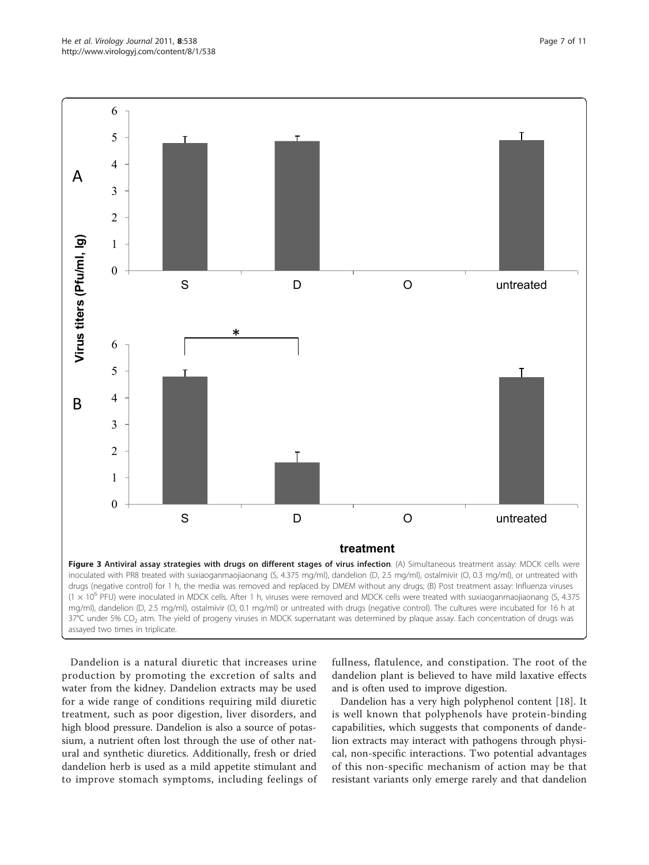<span id="page-6-0"></span>

Dandelion is a natural diuretic that increases urine production by promoting the excretion of salts and water from the kidney. Dandelion extracts may be used for a wide range of conditions requiring mild diuretic treatment, such as poor digestion, liver disorders, and high blood pressure. Dandelion is also a source of potassium, a nutrient often lost through the use of other natural and synthetic diuretics. Additionally, fresh or dried dandelion herb is used as a mild appetite stimulant and to improve stomach symptoms, including feelings of

fullness, flatulence, and constipation. The root of the dandelion plant is believed to have mild laxative effects and is often used to improve digestion.

Dandelion has a very high polyphenol content [\[18](#page-10-0)]. It is well known that polyphenols have protein-binding capabilities, which suggests that components of dandelion extracts may interact with pathogens through physical, non-specific interactions. Two potential advantages of this non-specific mechanism of action may be that resistant variants only emerge rarely and that dandelion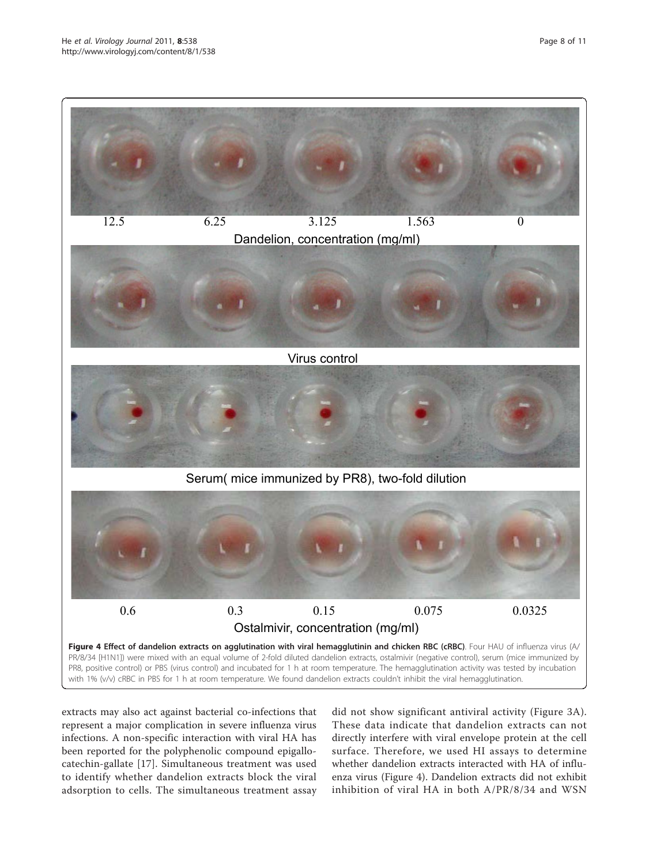<span id="page-7-0"></span>

extracts may also act against bacterial co-infections that represent a major complication in severe influenza virus infections. A non-specific interaction with viral HA has been reported for the polyphenolic compound epigallocatechin-gallate [\[17](#page-10-0)]. Simultaneous treatment was used to identify whether dandelion extracts block the viral adsorption to cells. The simultaneous treatment assay did not show significant antiviral activity (Figure [3A\)](#page-6-0). These data indicate that dandelion extracts can not directly interfere with viral envelope protein at the cell surface. Therefore, we used HI assays to determine whether dandelion extracts interacted with HA of influenza virus (Figure 4). Dandelion extracts did not exhibit inhibition of viral HA in both A/PR/8/34 and WSN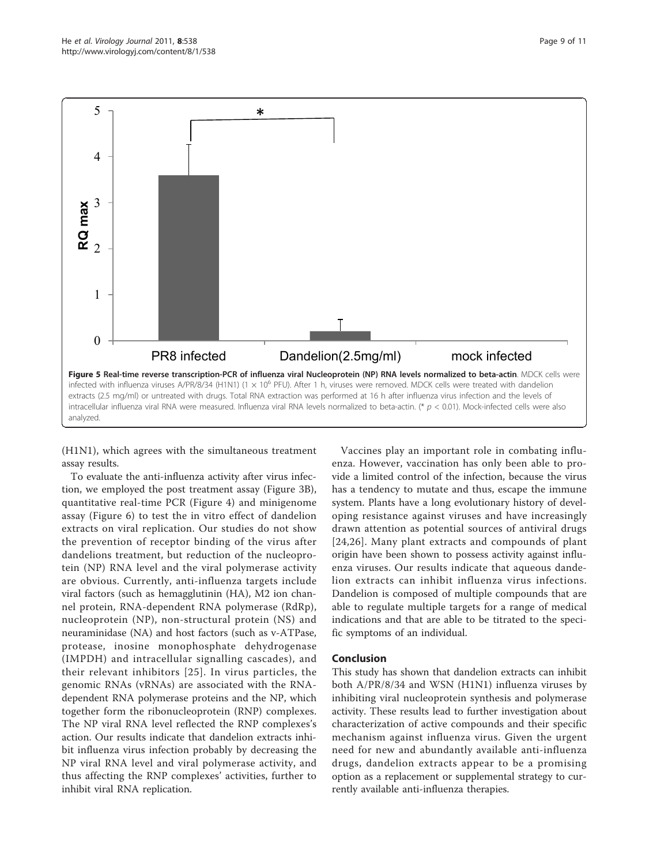<span id="page-8-0"></span>

(H1N1), which agrees with the simultaneous treatment assay results.

To evaluate the anti-influenza activity after virus infection, we employed the post treatment assay (Figure [3B](#page-6-0)), quantitative real-time PCR (Figure [4\)](#page-7-0) and minigenome assay (Figure [6\)](#page-9-0) to test the in vitro effect of dandelion extracts on viral replication. Our studies do not show the prevention of receptor binding of the virus after dandelions treatment, but reduction of the nucleoprotein (NP) RNA level and the viral polymerase activity are obvious. Currently, anti-influenza targets include viral factors (such as hemagglutinin (HA), M2 ion channel protein, RNA-dependent RNA polymerase (RdRp), nucleoprotein (NP), non-structural protein (NS) and neuraminidase (NA) and host factors (such as v-ATPase, protease, inosine monophosphate dehydrogenase (IMPDH) and intracellular signalling cascades), and their relevant inhibitors [[25](#page-10-0)]. In virus particles, the genomic RNAs (vRNAs) are associated with the RNAdependent RNA polymerase proteins and the NP, which together form the ribonucleoprotein (RNP) complexes. The NP viral RNA level reflected the RNP complexes's action. Our results indicate that dandelion extracts inhibit influenza virus infection probably by decreasing the NP viral RNA level and viral polymerase activity, and thus affecting the RNP complexes' activities, further to inhibit viral RNA replication.

Vaccines play an important role in combating influenza. However, vaccination has only been able to provide a limited control of the infection, because the virus has a tendency to mutate and thus, escape the immune system. Plants have a long evolutionary history of developing resistance against viruses and have increasingly drawn attention as potential sources of antiviral drugs [[24,26](#page-10-0)]. Many plant extracts and compounds of plant origin have been shown to possess activity against influenza viruses. Our results indicate that aqueous dandelion extracts can inhibit influenza virus infections. Dandelion is composed of multiple compounds that are able to regulate multiple targets for a range of medical indications and that are able to be titrated to the specific symptoms of an individual.

#### Conclusion

This study has shown that dandelion extracts can inhibit both A/PR/8/34 and WSN (H1N1) influenza viruses by inhibiting viral nucleoprotein synthesis and polymerase activity. These results lead to further investigation about characterization of active compounds and their specific mechanism against influenza virus. Given the urgent need for new and abundantly available anti-influenza drugs, dandelion extracts appear to be a promising option as a replacement or supplemental strategy to currently available anti-influenza therapies.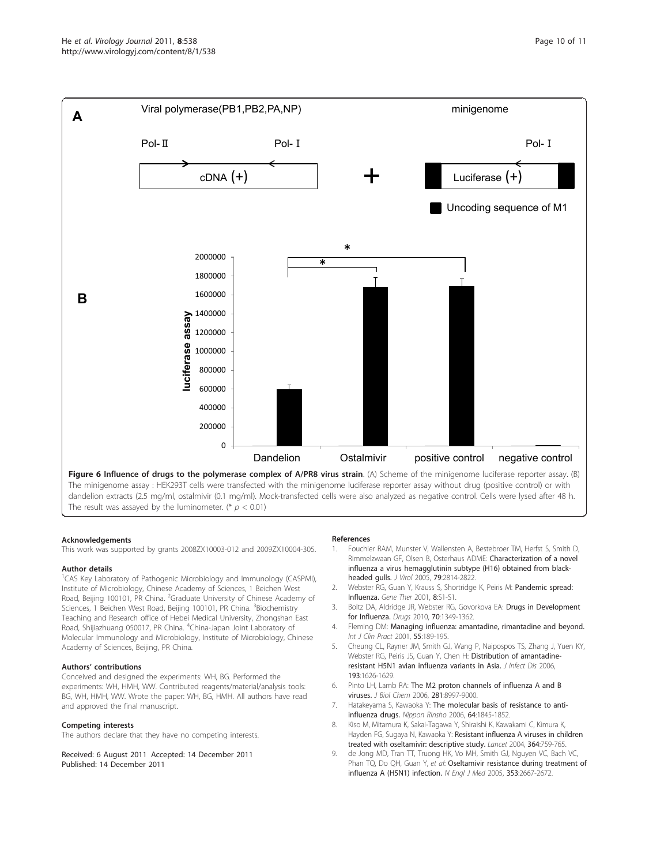<span id="page-9-0"></span>

The result was assayed by the luminometer. (\*  $p < 0.01$ )

#### Acknowledgements

This work was supported by grants 2008ZX10003-012 and 2009ZX10004-305.

#### Author details

<sup>1</sup>CAS Key Laboratory of Pathogenic Microbiology and Immunology (CASPMI), Institute of Microbiology, Chinese Academy of Sciences, 1 Beichen West Road, Beijing 100101, PR China. <sup>2</sup>Graduate University of Chinese Academy of Sciences, 1 Beichen West Road, Beijing 100101, PR China. <sup>3</sup>Biochemistry Teaching and Research office of Hebei Medical University, Zhongshan East Road, Shijiazhuang 050017, PR China. <sup>4</sup>China-Japan Joint Laboratory of Molecular Immunology and Microbiology, Institute of Microbiology, Chinese Academy of Sciences, Beijing, PR China.

#### Authors' contributions

Conceived and designed the experiments: WH, BG. Performed the experiments: WH, HMH, WW. Contributed reagents/material/analysis tools: BG, WH, HMH, WW. Wrote the paper: WH, BG, HMH. All authors have read and approved the final manuscript.

#### Competing interests

The authors declare that they have no competing interests.

Received: 6 August 2011 Accepted: 14 December 2011 Published: 14 December 2011

#### References

- 1. Fouchier RAM, Munster V, Wallensten A, Bestebroer TM, Herfst S, Smith D, Rimmelzwaan GF, Olsen B, Osterhaus ADME: [Characterization of a novel](http://www.ncbi.nlm.nih.gov/pubmed/15709000?dopt=Abstract) [influenza a virus hemagglutinin subtype \(H16\) obtained from black](http://www.ncbi.nlm.nih.gov/pubmed/15709000?dopt=Abstract)[headed gulls.](http://www.ncbi.nlm.nih.gov/pubmed/15709000?dopt=Abstract) J Virol 2005, 79:2814-2822.
- 2. Webster RG, Guan Y, Krauss S, Shortridge K, Peiris M: [Pandemic spread:](http://www.ncbi.nlm.nih.gov/pubmed/11587006?dopt=Abstract) [Influenza.](http://www.ncbi.nlm.nih.gov/pubmed/11587006?dopt=Abstract) Gene Ther 2001, 8:S1-S1.
- 3. Boltz DA, Aldridge JR, Webster RG, Govorkova EA: [Drugs in Development](http://www.ncbi.nlm.nih.gov/pubmed/20614944?dopt=Abstract) [for Influenza.](http://www.ncbi.nlm.nih.gov/pubmed/20614944?dopt=Abstract) Drugs 2010, 70:1349-1362.
- 4. Fleming DM: [Managing influenza: amantadine, rimantadine and beyond.](http://www.ncbi.nlm.nih.gov/pubmed/11351773?dopt=Abstract) Int J Clin Pract 2001, 55:189-195.
- 5. Cheung CL, Rayner JM, Smith GJ, Wang P, Naipospos TS, Zhang J, Yuen KY, Webster RG, Peiris JS, Guan Y, Chen H: [Distribution of amantadine](http://www.ncbi.nlm.nih.gov/pubmed/16703504?dopt=Abstract)[resistant H5N1 avian influenza variants in Asia.](http://www.ncbi.nlm.nih.gov/pubmed/16703504?dopt=Abstract) J Infect Dis 2006, 193:1626-1629.
- 6. Pinto LH, Lamb RA: [The M2 proton channels of influenza A and B](http://www.ncbi.nlm.nih.gov/pubmed/16407184?dopt=Abstract) [viruses.](http://www.ncbi.nlm.nih.gov/pubmed/16407184?dopt=Abstract) J Biol Chem 2006, 281:8997-9000.
- 7. Hatakeyama S, Kawaoka Y: [The molecular basis of resistance to anti](http://www.ncbi.nlm.nih.gov/pubmed/17037359?dopt=Abstract)[influenza drugs.](http://www.ncbi.nlm.nih.gov/pubmed/17037359?dopt=Abstract) Nippon Rinsho 2006, 64:1845-1852.
- 8. Kiso M, Mitamura K, Sakai-Tagawa Y, Shiraishi K, Kawakami C, Kimura K, Hayden FG, Sugaya N, Kawaoka Y: [Resistant influenza A viruses in children](http://www.ncbi.nlm.nih.gov/pubmed/15337401?dopt=Abstract) [treated with oseltamivir: descriptive study.](http://www.ncbi.nlm.nih.gov/pubmed/15337401?dopt=Abstract) Lancet 2004, 364:759-765.
- 9. de Jong MD, Tran TT, Truong HK, Vo MH, Smith GJ, Nguyen VC, Bach VC, Phan TQ, Do QH, Guan Y, et al: [Oseltamivir resistance during treatment of](http://www.ncbi.nlm.nih.gov/pubmed/16371632?dopt=Abstract) [influenza A \(H5N1\) infection.](http://www.ncbi.nlm.nih.gov/pubmed/16371632?dopt=Abstract) N Engl J Med 2005, 353:2667-2672.